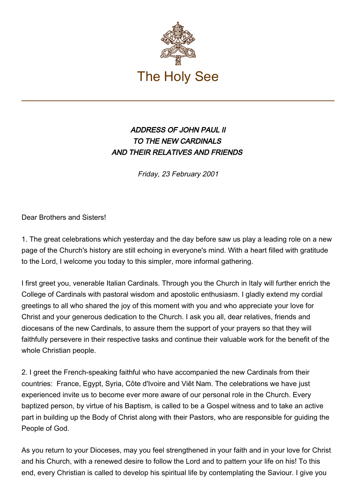

## ADDRESS OF JOHN PAUL II TO THE NEW CARDINALS AND THEIR RELATIVES AND FRIENDS

Friday, 23 February 2001

Dear Brothers and Sisters!

1. The great celebrations which yesterday and the day before saw us play a leading role on a new page of the Church's history are still echoing in everyone's mind. With a heart filled with gratitude to the Lord, I welcome you today to this simpler, more informal gathering.

I first greet you, venerable Italian Cardinals. Through you the Church in Italy will further enrich the College of Cardinals with pastoral wisdom and apostolic enthusiasm. I gladly extend my cordial greetings to all who shared the joy of this moment with you and who appreciate your love for Christ and your generous dedication to the Church. I ask you all, dear relatives, friends and diocesans of the new Cardinals, to assure them the support of your prayers so that they will faithfully persevere in their respective tasks and continue their valuable work for the benefit of the whole Christian people.

2. I greet the French-speaking faithful who have accompanied the new Cardinals from their countries: France, Egypt, Syria, Côte d'Ivoire and Viêt Nam. The celebrations we have just experienced invite us to become ever more aware of our personal role in the Church. Every baptized person, by virtue of his Baptism, is called to be a Gospel witness and to take an active part in building up the Body of Christ along with their Pastors, who are responsible for guiding the People of God.

As you return to your Dioceses, may you feel strengthened in your faith and in your love for Christ and his Church, with a renewed desire to follow the Lord and to pattern your life on his! To this end, every Christian is called to develop his spiritual life by contemplating the Saviour. I give you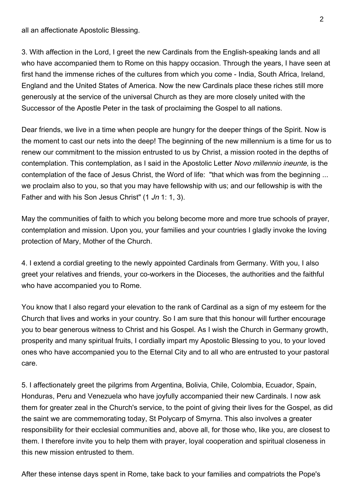all an affectionate Apostolic Blessing.

3. With affection in the Lord, I greet the new Cardinals from the English-speaking lands and all who have accompanied them to Rome on this happy occasion. Through the years, I have seen at first hand the immense riches of the cultures from which you come - India, South Africa, Ireland, England and the United States of America. Now the new Cardinals place these riches still more generously at the service of the universal Church as they are more closely united with the Successor of the Apostle Peter in the task of proclaiming the Gospel to all nations.

Dear friends, we live in a time when people are hungry for the deeper things of the Spirit. Now is the moment to cast our nets into the deep! The beginning of the new millennium is a time for us to renew our commitment to the mission entrusted to us by Christ, a mission rooted in the depths of contemplation. This contemplation, as I said in the Apostolic Letter Novo millennio ineunte, is the contemplation of the face of Jesus Christ, the Word of life: "that which was from the beginning ... we proclaim also to you, so that you may have fellowship with us; and our fellowship is with the Father and with his Son Jesus Christ" (1 Jn 1: 1, 3).

May the communities of faith to which you belong become more and more true schools of prayer, contemplation and mission. Upon you, your families and your countries I gladly invoke the loving protection of Mary, Mother of the Church.

4. I extend a cordial greeting to the newly appointed Cardinals from Germany. With you, I also greet your relatives and friends, your co-workers in the Dioceses, the authorities and the faithful who have accompanied you to Rome.

You know that I also regard your elevation to the rank of Cardinal as a sign of my esteem for the Church that lives and works in your country. So I am sure that this honour will further encourage you to bear generous witness to Christ and his Gospel. As I wish the Church in Germany growth, prosperity and many spiritual fruits, I cordially impart my Apostolic Blessing to you, to your loved ones who have accompanied you to the Eternal City and to all who are entrusted to your pastoral care.

5. I affectionately greet the pilgrims from Argentina, Bolivia, Chile, Colombia, Ecuador, Spain, Honduras, Peru and Venezuela who have joyfully accompanied their new Cardinals. I now ask them for greater zeal in the Church's service, to the point of giving their lives for the Gospel, as did the saint we are commemorating today, St Polycarp of Smyrna. This also involves a greater responsibility for their ecclesial communities and, above all, for those who, like you, are closest to them. I therefore invite you to help them with prayer, loyal cooperation and spiritual closeness in this new mission entrusted to them.

After these intense days spent in Rome, take back to your families and compatriots the Pope's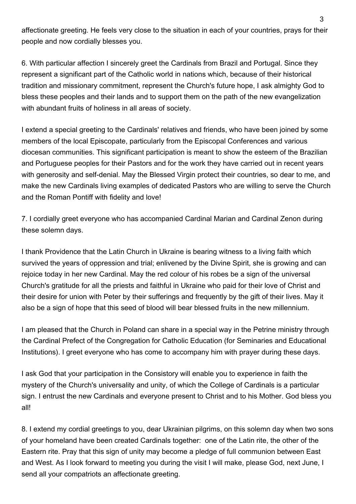affectionate greeting. He feels very close to the situation in each of your countries, prays for their people and now cordially blesses you.

6. With particular affection I sincerely greet the Cardinals from Brazil and Portugal. Since they represent a significant part of the Catholic world in nations which, because of their historical tradition and missionary commitment, represent the Church's future hope, I ask almighty God to bless these peoples and their lands and to support them on the path of the new evangelization with abundant fruits of holiness in all areas of society.

I extend a special greeting to the Cardinals' relatives and friends, who have been joined by some members of the local Episcopate, particularly from the Episcopal Conferences and various diocesan communities. This significant participation is meant to show the esteem of the Brazilian and Portuguese peoples for their Pastors and for the work they have carried out in recent years with generosity and self-denial. May the Blessed Virgin protect their countries, so dear to me, and make the new Cardinals living examples of dedicated Pastors who are willing to serve the Church and the Roman Pontiff with fidelity and love!

7. I cordially greet everyone who has accompanied Cardinal Marian and Cardinal Zenon during these solemn days.

I thank Providence that the Latin Church in Ukraine is bearing witness to a living faith which survived the years of oppression and trial; enlivened by the Divine Spirit, she is growing and can rejoice today in her new Cardinal. May the red colour of his robes be a sign of the universal Church's gratitude for all the priests and faithful in Ukraine who paid for their love of Christ and their desire for union with Peter by their sufferings and frequently by the gift of their lives. May it also be a sign of hope that this seed of blood will bear blessed fruits in the new millennium.

I am pleased that the Church in Poland can share in a special way in the Petrine ministry through the Cardinal Prefect of the Congregation for Catholic Education (for Seminaries and Educational Institutions). I greet everyone who has come to accompany him with prayer during these days.

I ask God that your participation in the Consistory will enable you to experience in faith the mystery of the Church's universality and unity, of which the College of Cardinals is a particular sign. I entrust the new Cardinals and everyone present to Christ and to his Mother. God bless you all!

8. I extend my cordial greetings to you, dear Ukrainian pilgrims, on this solemn day when two sons of your homeland have been created Cardinals together: one of the Latin rite, the other of the Eastern rite. Pray that this sign of unity may become a pledge of full communion between East and West. As I look forward to meeting you during the visit I will make, please God, next June, I send all your compatriots an affectionate greeting.